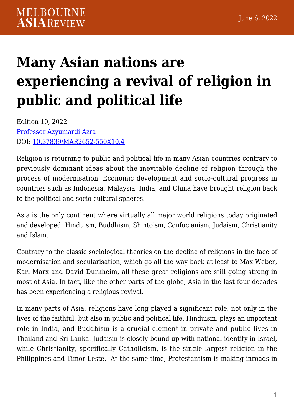# **[Many Asian nations are](https://melbourneasiareview.edu.au/many-asian-nations-are-experiencing-a-revival-of-religion-in-public-and-political-life/) [experiencing a revival of religion in](https://melbourneasiareview.edu.au/many-asian-nations-are-experiencing-a-revival-of-religion-in-public-and-political-life/) [public and political life](https://melbourneasiareview.edu.au/many-asian-nations-are-experiencing-a-revival-of-religion-in-public-and-political-life/)**

Edition 10, 2022 [Professor Azyumardi Azra](https://staff.uinjkt.ac.id/profile.php?staff=52a35b91-848d-067c-b048-79097225808b) DOI: 10.37839/MAR2652-550X10.4

Religion is returning to public and political life in many Asian countries contrary to previously dominant ideas about the inevitable decline of religion through the process of modernisation, Economic development and socio-cultural progress in countries such as Indonesia, Malaysia, India, and China have brought religion back to the political and socio-cultural spheres.

Asia is the only continent where virtually all major world religions today originated and developed: Hinduism, Buddhism, Shintoism, Confucianism, Judaism, Christianity and Islam.

Contrary to the classic sociological theories on the decline of religions in the face of modernisation and secularisation, which go all the way back at least to Max Weber, Karl Marx and David Durkheim, all these great religions are still going strong in most of Asia. In fact, like the other parts of the globe, Asia in the last four decades has been experiencing a religious revival.

In many parts of Asia, religions have long played a significant role, not only in the lives of the faithful, but also in public and political life. Hinduism, plays an important role in India, and Buddhism is a crucial element in private and public lives in Thailand and Sri Lanka. Judaism is closely bound up with national identity in Israel, while Christianity, specifically Catholicism, is the single largest religion in the Philippines and Timor Leste. At the same time, Protestantism is making inroads in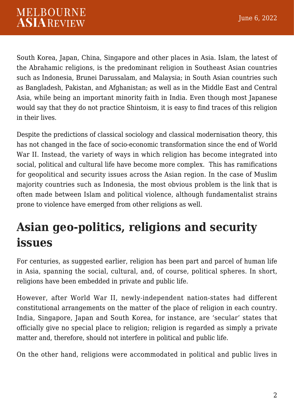South Korea, Japan, China, Singapore and other places in Asia. Islam, the latest of the Abrahamic religions, is the predominant religion in Southeast Asian countries such as Indonesia, Brunei Darussalam, and Malaysia; in South Asian countries such as Bangladesh, Pakistan, and Afghanistan; as well as in the Middle East and Central Asia, while being an important minority faith in India. Even though most Japanese would say that they do not practice Shintoism, it is easy to find traces of this religion in their lives.

Despite the predictions of classical sociology and classical modernisation theory, this has not changed in the face of socio-economic transformation since the end of World War II. Instead, the variety of ways in which religion has become integrated into social, political and cultural life have become more complex. This has ramifications for geopolitical and security issues across the Asian region. In the case of Muslim majority countries such as Indonesia, the most obvious problem is the link that is often made between Islam and political violence, although fundamentalist strains prone to violence have emerged from other religions as well.

## **Asian geo-politics, religions and security issues**

For centuries, as suggested earlier, religion has been part and parcel of human life in Asia, spanning the social, cultural, and, of course, political spheres. In short, religions have been embedded in private and public life.

However, after World War II, newly-independent nation-states had different constitutional arrangements on the matter of the place of religion in each country. India, Singapore, Japan and South Korea, for instance, are 'secular' states that officially give no special place to religion; religion is regarded as simply a private matter and, therefore, should not interfere in political and public life.

On the other hand, religions were accommodated in political and public lives in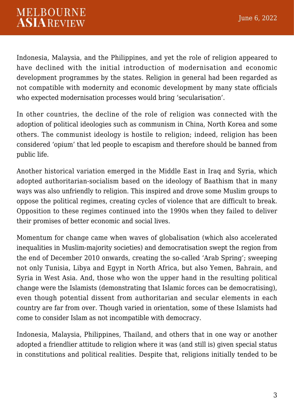Indonesia, Malaysia, and the Philippines, and yet the role of religion appeared to have declined with the initial introduction of modernisation and economic development programmes by the states. Religion in general had been regarded as not compatible with modernity and economic development by many state officials who expected modernisation processes would bring 'secularisation'.

In other countries, the decline of the role of religion was connected with the adoption of political ideologies such as communism in China, North Korea and some others. The communist ideology is hostile to religion; indeed, religion has been considered 'opium' that led people to escapism and therefore should be banned from public life.

Another historical variation emerged in the Middle East in Iraq and Syria, which adopted authoritarian-socialism based on the ideology of Baathism that in many ways was also unfriendly to religion. This inspired and drove some Muslim groups to oppose the political regimes, creating cycles of violence that are difficult to break. Opposition to these regimes continued into the 1990s when they failed to deliver their promises of better economic and social lives.

Momentum for change came when waves of globalisation (which also accelerated inequalities in Muslim-majority societies) and democratisation swept the region from the end of December 2010 onwards, creating the so-called 'Arab Spring'; sweeping not only Tunisia, Libya and Egypt in North Africa, but also Yemen, Bahrain, and Syria in West Asia. And, those who won the upper hand in the resulting political change were the Islamists (demonstrating that Islamic forces can be democratising), even though potential dissent from authoritarian and secular elements in each country are far from over. Though varied in orientation, some of these Islamists had come to consider Islam as not incompatible with democracy.

Indonesia, Malaysia, Philippines, Thailand, and others that in one way or another adopted a friendlier attitude to religion where it was (and still is) given special status in constitutions and political realities. Despite that, religions initially tended to be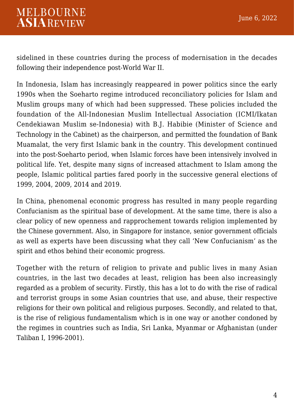sidelined in these countries during the process of modernisation in the decades following their independence post-World War II.

In Indonesia, Islam has increasingly reappeared in power politics since the early 1990s when the Soeharto regime introduced reconciliatory policies for Islam and Muslim groups many of which had been suppressed. These policies included the foundation of the All-Indonesian Muslim Intellectual Association (ICMI/Ikatan Cendekiawan Muslim se-Indonesia) with B.J. Habibie (Minister of Science and Technology in the Cabinet) as the chairperson, and permitted the foundation of Bank Muamalat, the very first Islamic bank in the country. This development continued into the post-Soeharto period, when Islamic forces have been intensively involved in political life. Yet, despite many signs of increased attachment to Islam among the people, Islamic political parties fared poorly in the successive general elections of 1999, 2004, 2009, 2014 and 2019.

In China, phenomenal economic progress has resulted in many people regarding Confucianism as the spiritual base of development. At the same time, there is also a clear policy of new openness and rapprochement towards religion implemented by the Chinese government. Also, in Singapore for instance, senior government officials as well as experts have been discussing what they call 'New Confucianism' as the spirit and ethos behind their economic progress.

Together with the return of religion to private and public lives in many Asian countries, in the last two decades at least, religion has been also increasingly regarded as a problem of security. Firstly, this has a lot to do with the rise of radical and terrorist groups in some Asian countries that use, and abuse, their respective religions for their own political and religious purposes. Secondly, and related to that, is the rise of religious fundamentalism which is in one way or another condoned by the regimes in countries such as India, Sri Lanka, Myanmar or Afghanistan (under Taliban I, 1996-2001).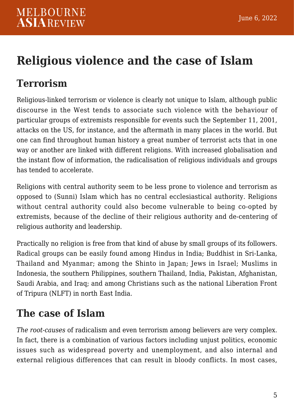# **Religious violence and the case of Islam**

### **Terrorism**

Religious-linked terrorism or violence is clearly not unique to Islam, although public discourse in the West tends to associate such violence with the behaviour of particular groups of extremists responsible for events such the September 11, 2001, attacks on the US, for instance, and the aftermath in many places in the world. But one can find throughout human history a great number of terrorist acts that in one way or another are linked with different religions. With increased globalisation and the instant flow of information, the radicalisation of religious individuals and groups has tended to accelerate.

Religions with central authority seem to be less prone to violence and terrorism as opposed to (Sunni) Islam which has no central ecclesiastical authority. Religions without central authority could also become vulnerable to being co-opted by extremists, because of the decline of their religious authority and de-centering of religious authority and leadership.

Practically no religion is free from that kind of abuse by small groups of its followers. Radical groups can be easily found among Hindus in India; Buddhist in Sri-Lanka, Thailand and Myanmar; among the Shinto in Japan; Jews in Israel; Muslims in Indonesia, the southern Philippines, southern Thailand, India, Pakistan, Afghanistan, Saudi Arabia, and Iraq; and among Christians such as the national Liberation Front of Tripura (NLFT) in north East India.

### **The case of Islam**

*The root-causes* of radicalism and even terrorism among believers are very complex. In fact, there is a combination of various factors including unjust politics, economic issues such as widespread poverty and unemployment, and also internal and external religious differences that can result in bloody conflicts. In most cases,

June 6, 2022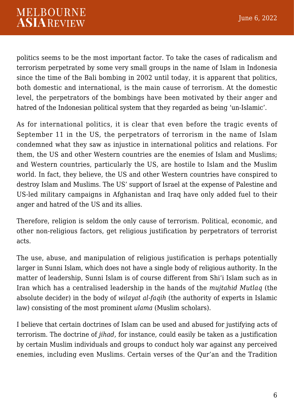politics seems to be the most important factor. To take the cases of radicalism and terrorism perpetrated by some very small groups in the name of Islam in Indonesia since the time of the Bali bombing in 2002 until today, it is apparent that politics, both domestic and international, is the main cause of terrorism. At the domestic level, the perpetrators of the bombings have been motivated by their anger and hatred of the Indonesian political system that they regarded as being 'un-Islamic'.

As for international politics, it is clear that even before the tragic events of September 11 in the US, the perpetrators of terrorism in the name of Islam condemned what they saw as injustice in international politics and relations. For them, the US and other Western countries are the enemies of Islam and Muslims; and Western countries, particularly the US, are hostile to Islam and the Muslim world. In fact, they believe, the US and other Western countries have conspired to destroy Islam and Muslims. The US' support of Israel at the expense of Palestine and US-led military campaigns in Afghanistan and Iraq have only added fuel to their anger and hatred of the US and its allies.

Therefore, religion is seldom the only cause of terrorism. Political, economic, and other non-religious factors, get religious justification by perpetrators of terrorist acts.

The use, abuse, and manipulation of religious justification is perhaps potentially larger in Sunni Islam, which does not have a single body of religious authority. In the matter of leadership, Sunni Islam is of course different from Shi'i Islam such as in Iran which has a centralised leadership in the hands of the *mujtahid Mutlaq* (the absolute decider) in the body of *wilayat al-faqih* (the authority of experts in Islamic law) consisting of the most prominent *ulama* (Muslim scholars).

I believe that certain doctrines of Islam can be used and abused for justifying acts of terrorism. The doctrine of *jihad*, for instance, could easily be taken as a justification by certain Muslim individuals and groups to conduct holy war against any perceived enemies, including even Muslims. Certain verses of the Qur'an and the Tradition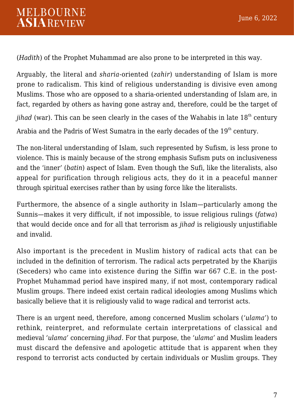(*Hadith*) of the Prophet Muhammad are also prone to be interpreted in this way.

Arguably, the literal and *sharia*-oriented (*zahir*) understanding of Islam is more prone to radicalism. This kind of religious understanding is divisive even among Muslims. Those who are opposed to a sharia-oriented understanding of Islam are, in fact, regarded by others as having gone astray and, therefore, could be the target of

*jihad* (war). This can be seen clearly in the cases of the Wahabis in late 18<sup>th</sup> century

Arabia and the Padris of West Sumatra in the early decades of the  $19<sup>th</sup>$  century.

The non-literal understanding of Islam, such represented by Sufism, is less prone to violence. This is mainly because of the strong emphasis Sufism puts on inclusiveness and the 'inner' (*batin*) aspect of Islam. Even though the Sufi, like the literalists, also appeal for purification through religious acts, they do it in a peaceful manner through spiritual exercises rather than by using force like the literalists.

Furthermore, the absence of a single authority in Islam—particularly among the Sunnis—makes it very difficult, if not impossible, to issue religious rulings (*fatwa*) that would decide once and for all that terrorism as *jihad* is religiously unjustifiable and invalid.

Also important is the precedent in Muslim history of radical acts that can be included in the definition of terrorism. The radical acts perpetrated by the Kharijis (Seceders) who came into existence during the Siffin war 667 C.E. in the post-Prophet Muhammad period have inspired many, if not most, contemporary radical Muslim groups. There indeed exist certain radical ideologies among Muslims which basically believe that it is religiously valid to wage radical and terrorist acts.

There is an urgent need, therefore, among concerned Muslim scholars (*'ulama'*) to rethink, reinterpret, and reformulate certain interpretations of classical and medieval *'ulama'* concerning *jihad*. For that purpose, the *'ulama'* and Muslim leaders must discard the defensive and apologetic attitude that is apparent when they respond to terrorist acts conducted by certain individuals or Muslim groups. They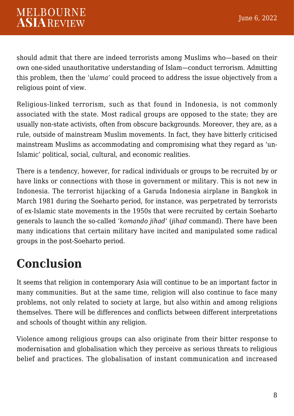should admit that there are indeed terrorists among Muslims who—based on their own one-sided unauthoritative understanding of Islam—conduct terrorism. Admitting this problem, then the *'ulama'* could proceed to address the issue objectively from a religious point of view.

Religious-linked terrorism, such as that found in Indonesia, is not commonly associated with the state. Most radical groups are opposed to the state; they are usually non-state activists, often from obscure backgrounds. Moreover, they are, as a rule, outside of mainstream Muslim movements. In fact, they have bitterly criticised mainstream Muslims as accommodating and compromising what they regard as 'un-Islamic' political, social, cultural, and economic realities.

There is a tendency, however, for radical individuals or groups to be recruited by or have links or connections with those in government or military. This is not new in Indonesia. The terrorist hijacking of a Garuda Indonesia airplane in Bangkok in March 1981 during the Soeharto period, for instance, was perpetrated by terrorists of ex-Islamic state movements in the 1950s that were recruited by certain Soeharto generals to launch the so-called '*komando jihad'* (*jihad* command). There have been many indications that certain military have incited and manipulated some radical groups in the post-Soeharto period.

# **Conclusion**

It seems that religion in contemporary Asia will continue to be an important factor in many communities. But at the same time, religion will also continue to face many problems, not only related to society at large, but also within and among religions themselves. There will be differences and conflicts between different interpretations and schools of thought within any religion.

Violence among religious groups can also originate from their bitter response to modernisation and globalisation which they perceive as serious threats to religious belief and practices. The globalisation of instant communication and increased